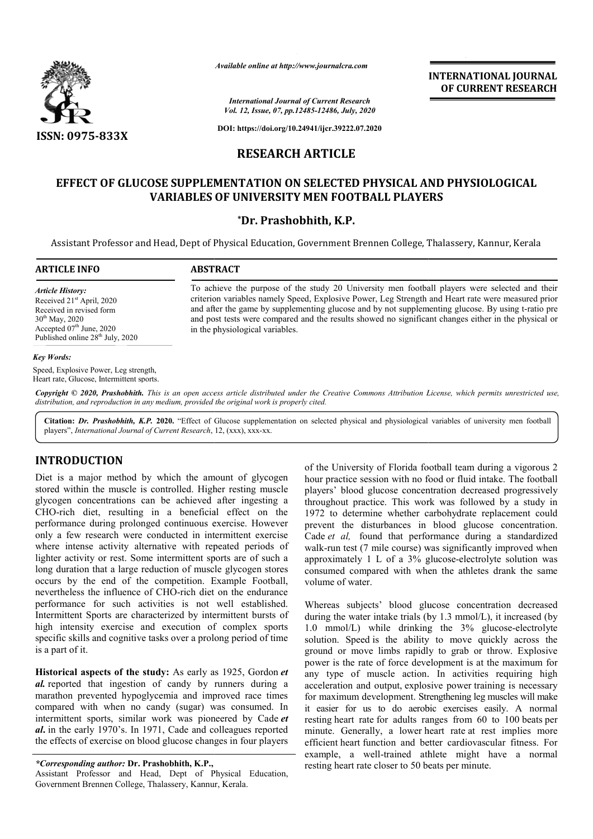

*Available online at http://www.journalcra.com*

**INTERNATIONAL JOURNAL OF CURRENT RESEARCH**

*International Journal of Current Research Vol. 12, Issue, 07, pp.12485-12486, July, 2020*

**DOI: https://doi.org/10.24941/ijcr.39222.07.2020**

# **RESEARCH ARTICLE**

# **EFFECT OF GLUCOSE SUPPLEMENTATION ON SELECTED PHYSICAL AND PHYSIOLOGICAL VARIABLES OF UNIVERSITY MEN FOOTBALL PLAYERS**

## **\*Dr. Prashobhith, K.P.**

Assistant Professor and Head, Dept of Physical Education, Government Brennen College, Thalassery, Kannur, Kerala

## **ARTICLE INFO ABSTRACT**

*Article History:* Received 21<sup>st</sup> April, 2020 Received in revised form 30th May, 2020 Accepted  $07<sup>th</sup>$  June, 2020 Published online 28<sup>th</sup> July, 2020

To achieve the purpose of the study 20 University men football players were selected and their criterion variables namely Speed, Explosive Power, Leg Strength and Heart rate were measured prior To achieve the purpose of the study 20 University men football players were selected and their criterion variables namely Speed, Explosive Power, Leg Strength and Heart rate were measured prior and after the game by supple and post tests were compared and the results showed no significant changes either in the physical or in the physiological variables.

### *Key Words:*

Speed, Explosive Power, Leg strength, Heart rate, Glucose, Intermittent sports.

Copyright © 2020, Prashobhith. This is an open access article distributed under the Creative Commons Attribution License, which permits unrestricted use, *distribution, and reproduction in any medium, provided the original work is properly cited.*

Citation: Dr. Prashobhith, K.P. 2020. "Effect of Glucose supplementation on selected physical and physiological variables of university men football players", *International Journal of Current Research*, 12, (xxx), xxx-xx.

## **INTRODUCTION**

Diet is a major method by which the amount of glycogen stored within the muscle is controlled. Higher resting muscle glycogen concentrations can be achieved after ingesting a CHO-rich diet, resulting in a beneficial effect on the performance during prolonged continuous exercise. However only a few research were conducted in intermittent exercise where intense activity alternative with repeated periods of lighter activity or rest. Some intermittent sports are of such a long duration that a large reduction of muscle glycogen stores occurs by the end of the competition. Example Football, nevertheless the influence of CHO-rich diet on the endurance performance for such activities is not well established. Intermittent Sports are characterized by intermittent bursts of high intensity exercise and execution of complex sports specific skills and cognitive tasks over a prolong period of time is a part of it. rich diet, resulting in a bene<br>mance during prolonged continuous<br>a few research were conducted in<br>intense activity alternative with<br>ractivity or rest. Some intermitter<br>luration that a large reduction of n<br>is by the end of

**Historical aspects of the study:** As early as 1925, Gordon *et al.* reported that ingestion of candy by runners during a marathon prevented hypoglycemia and improved race times compared with when no candy (sugar) was consumed. In intermittent sports, similar work was pioneered by Cade *et al***.** in the early 1970's. In 1971, Cade and colleagues reported the effects of exercise on blood glucose changes in four players

*\*Corresponding author:* **Dr. Prashobhith, K.P.,**

Assistant Professor and Head, Dept of Physical Education, Government Brennen College, Thalassery, Kannur, Kerala.

of the University of Florida football team during a vigorous 2 hour practice session with no food or fluid intake. The football players' blood glucose concentration decreased progressively throughout practice. This work was followed by a study in 1972 to determine whether carbohydrate replacement could prevent the disturbances in blood glucose concentration. Cade *et al,* found that performance during a standardized walk-run test (7 mile course) was significantly improved when approximately 1 L of a 3% glucose-electrolyte solution was consumed compared with when the athletes drank the same volume of water. of the University of Florida football team during a vigorous 2 hour practice session with no food or fluid intake. The football players' blood glucose concentration decreased progressively throughout practice. This work w

Whereas subjects' blood glucose concentration decreased during the water intake trials (by 1.3 mmol/L), it increased (by 1.0 consumed compared with when the athletes drank the same<br>
1.0 whereas subjects' blood glucose concentration decreased<br>
1.0 mmol/L) while drinking the 3% glucose-electrolyte<br>
1.0 mmol/L) while drinking the 3% glucose-ele solution. Speed is the ability to move quickly across the solution. Speed is the ability to move quickly across the ground or move limbs rapidly to grab or throw. Explosive power is the rate of force development is at the maximum for any type of muscle action. In activities requiring high power is the rate of force development is at the maximum for any type of muscle action. In activities requiring high acceleration and output, explosive power training is necessary for maximum development. Strengthening leg muscles will make it easier for us to do aerobic exercises easily. A normal resting heart rate for adults ranges from 60 to 100 beats per minute. Generally, a lower heart rate at rest implies more efficient heart function and better cardiovascular fitness. For efficient heart function and better cardiovascular fitness. For example, a well-trained athlete might have a normal resting heart rate closer to 50 beats per minute.